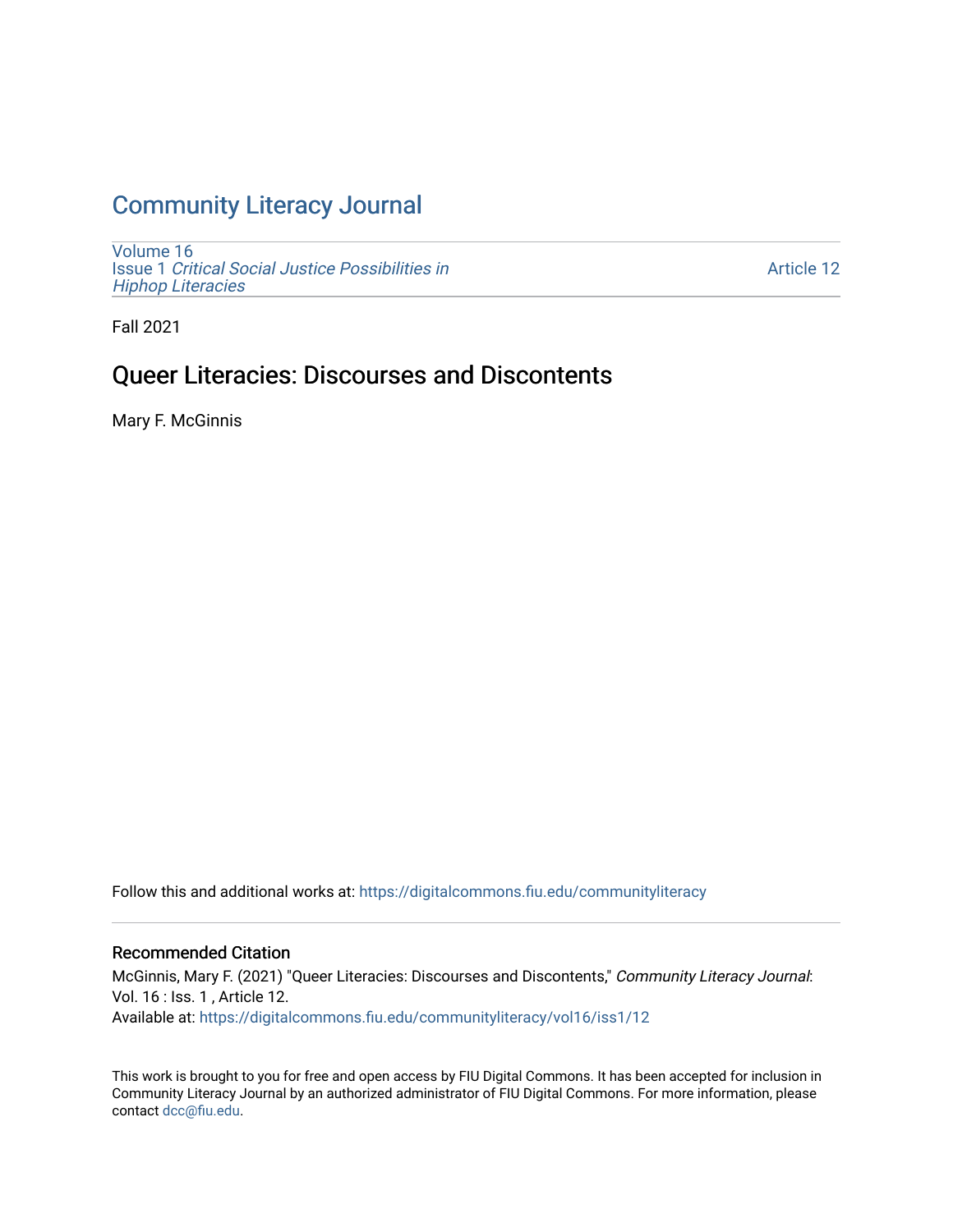# [Community Literacy Journal](https://digitalcommons.fiu.edu/communityliteracy)

[Volume 16](https://digitalcommons.fiu.edu/communityliteracy/vol16) Issue 1 [Critical Social Justice Possibilities in](https://digitalcommons.fiu.edu/communityliteracy/vol16/iss1) [Hiphop Literacies](https://digitalcommons.fiu.edu/communityliteracy/vol16/iss1)

[Article 12](https://digitalcommons.fiu.edu/communityliteracy/vol16/iss1/12) 

Fall 2021

## Queer Literacies: Discourses and Discontents

Mary F. McGinnis

Follow this and additional works at: [https://digitalcommons.fiu.edu/communityliteracy](https://digitalcommons.fiu.edu/communityliteracy?utm_source=digitalcommons.fiu.edu%2Fcommunityliteracy%2Fvol16%2Fiss1%2F12&utm_medium=PDF&utm_campaign=PDFCoverPages)

#### Recommended Citation

McGinnis, Mary F. (2021) "Queer Literacies: Discourses and Discontents," Community Literacy Journal: Vol. 16 : Iss. 1 , Article 12. Available at: [https://digitalcommons.fiu.edu/communityliteracy/vol16/iss1/12](https://digitalcommons.fiu.edu/communityliteracy/vol16/iss1/12?utm_source=digitalcommons.fiu.edu%2Fcommunityliteracy%2Fvol16%2Fiss1%2F12&utm_medium=PDF&utm_campaign=PDFCoverPages) 

This work is brought to you for free and open access by FIU Digital Commons. It has been accepted for inclusion in Community Literacy Journal by an authorized administrator of FIU Digital Commons. For more information, please contact [dcc@fiu.edu](mailto:dcc@fiu.edu).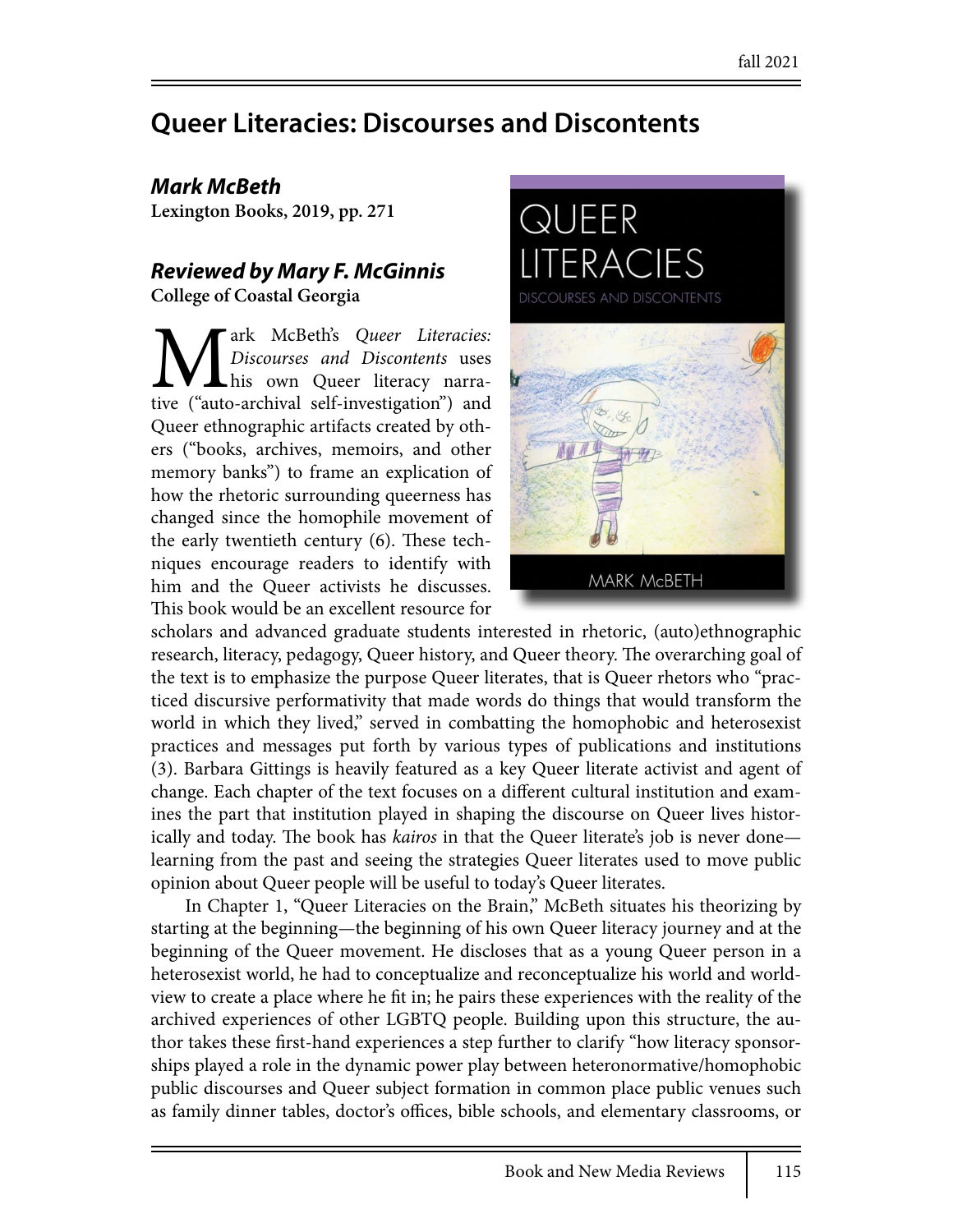# **Queer Literacies: Discourses and Discontents**

## *Mark McBeth*

**Lexington Books, 2019, pp. 271**

## *Reviewed by Mary F. McGinnis*

**College of Coastal Georgia**

**Mark McBeth's Queer Literacies:** *Discourses and Discontents* uses his own Queer literacy narrative ("auto-archival self-investigation") and *Discourses and Discontents* uses his own Queer literacy narra-Queer ethnographic artifacts created by others ("books, archives, memoirs, and other memory banks") to frame an explication of how the rhetoric surrounding queerness has changed since the homophile movement of the early twentieth century  $(6)$ . These techniques encourage readers to identify with him and the Queer activists he discusses. This book would be an excellent resource for



scholars and advanced graduate students interested in rhetoric, (auto)ethnographic research, literacy, pedagogy, Queer history, and Queer theory. The overarching goal of the text is to emphasize the purpose Queer literates, that is Queer rhetors who "practiced discursive performativity that made words do things that would transform the world in which they lived," served in combatting the homophobic and heterosexist practices and messages put forth by various types of publications and institutions (3). Barbara Gittings is heavily featured as a key Queer literate activist and agent of change. Each chapter of the text focuses on a different cultural institution and examines the part that institution played in shaping the discourse on Queer lives historically and today. The book has *kairos* in that the Queer literate's job is never done learning from the past and seeing the strategies Queer literates used to move public opinion about Queer people will be useful to today's Queer literates.

In Chapter 1, "Queer Literacies on the Brain," McBeth situates his theorizing by starting at the beginning—the beginning of his own Queer literacy journey and at the beginning of the Queer movement. He discloses that as a young Queer person in a heterosexist world, he had to conceptualize and reconceptualize his world and worldview to create a place where he fit in; he pairs these experiences with the reality of the archived experiences of other LGBTQ people. Building upon this structure, the author takes these first-hand experiences a step further to clarify "how literacy sponsorships played a role in the dynamic power play between heteronormative/homophobic public discourses and Queer subject formation in common place public venues such as family dinner tables, doctor's offices, bible schools, and elementary classrooms, or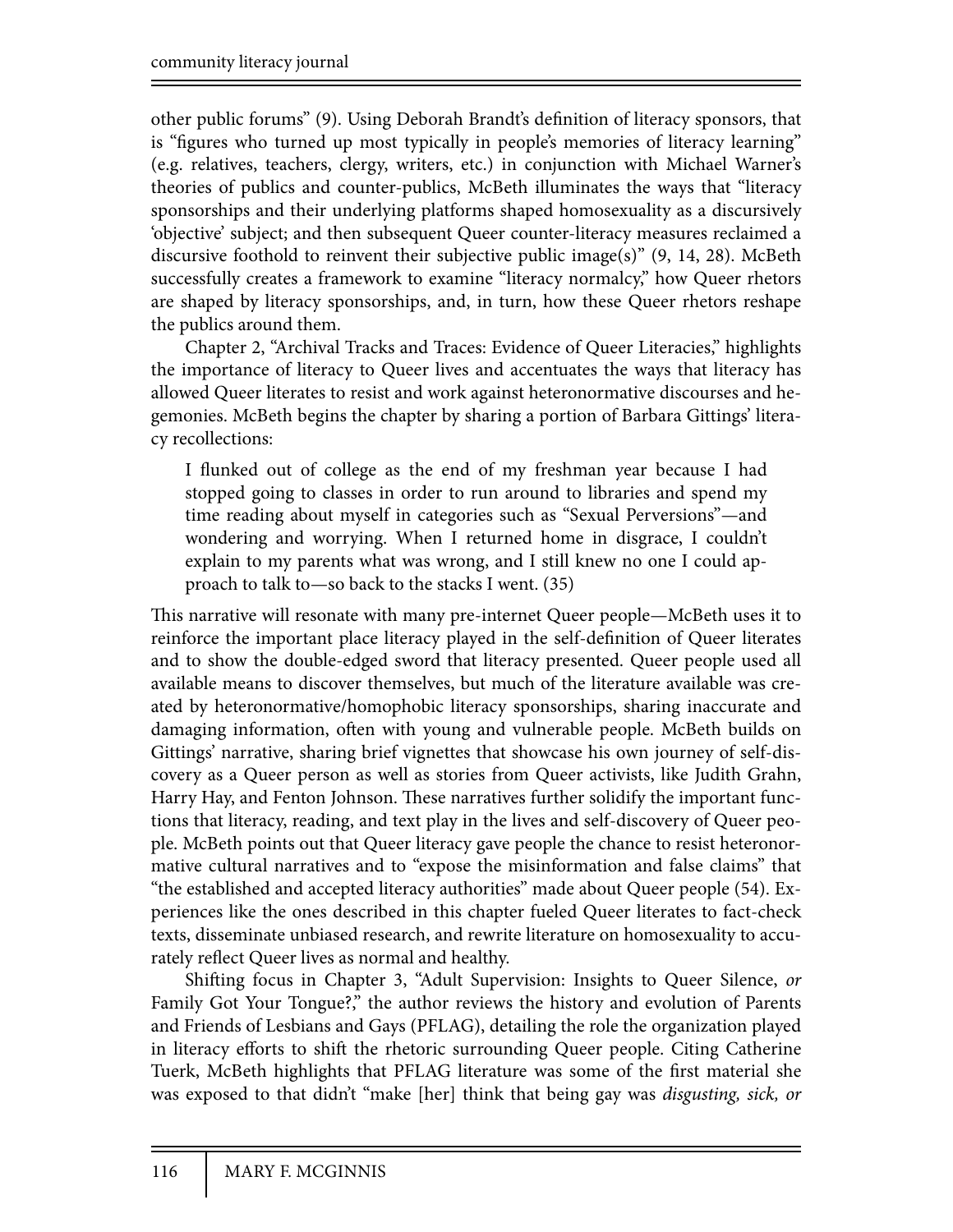other public forums" (9). Using Deborah Brandt's definition of literacy sponsors, that is "figures who turned up most typically in people's memories of literacy learning" (e.g. relatives, teachers, clergy, writers, etc.) in conjunction with Michael Warner's theories of publics and counter-publics, McBeth illuminates the ways that "literacy sponsorships and their underlying platforms shaped homosexuality as a discursively 'objective' subject; and then subsequent Queer counter-literacy measures reclaimed a discursive foothold to reinvent their subjective public image(s)" (9, 14, 28). McBeth successfully creates a framework to examine "literacy normalcy," how Queer rhetors are shaped by literacy sponsorships, and, in turn, how these Queer rhetors reshape the publics around them.

Chapter 2, "Archival Tracks and Traces: Evidence of Queer Literacies," highlights the importance of literacy to Queer lives and accentuates the ways that literacy has allowed Queer literates to resist and work against heteronormative discourses and hegemonies. McBeth begins the chapter by sharing a portion of Barbara Gittings' literacy recollections:

I flunked out of college as the end of my freshman year because I had stopped going to classes in order to run around to libraries and spend my time reading about myself in categories such as "Sexual Perversions"—and wondering and worrying. When I returned home in disgrace, I couldn't explain to my parents what was wrong, and I still knew no one I could approach to talk to—so back to the stacks I went. (35)

This narrative will resonate with many pre-internet Queer people—McBeth uses it to reinforce the important place literacy played in the self-definition of Queer literates and to show the double-edged sword that literacy presented. Queer people used all available means to discover themselves, but much of the literature available was created by heteronormative/homophobic literacy sponsorships, sharing inaccurate and damaging information, often with young and vulnerable people. McBeth builds on Gittings' narrative, sharing brief vignettes that showcase his own journey of self-discovery as a Queer person as well as stories from Queer activists, like Judith Grahn, Harry Hay, and Fenton Johnson. These narratives further solidify the important functions that literacy, reading, and text play in the lives and self-discovery of Queer people. McBeth points out that Queer literacy gave people the chance to resist heteronormative cultural narratives and to "expose the misinformation and false claims" that "the established and accepted literacy authorities" made about Queer people (54). Experiences like the ones described in this chapter fueled Queer literates to fact-check texts, disseminate unbiased research, and rewrite literature on homosexuality to accurately reflect Queer lives as normal and healthy.

Shifting focus in Chapter 3, "Adult Supervision: Insights to Queer Silence, or Family Got Your Tongue?," the author reviews the history and evolution of Parents and Friends of Lesbians and Gays (PFLAG), detailing the role the organization played in literacy efforts to shift the rhetoric surrounding Queer people. Citing Catherine Tuerk, McBeth highlights that PFLAG literature was some of the first material she was exposed to that didn't "make [her] think that being gay was *disgusting, sick, or*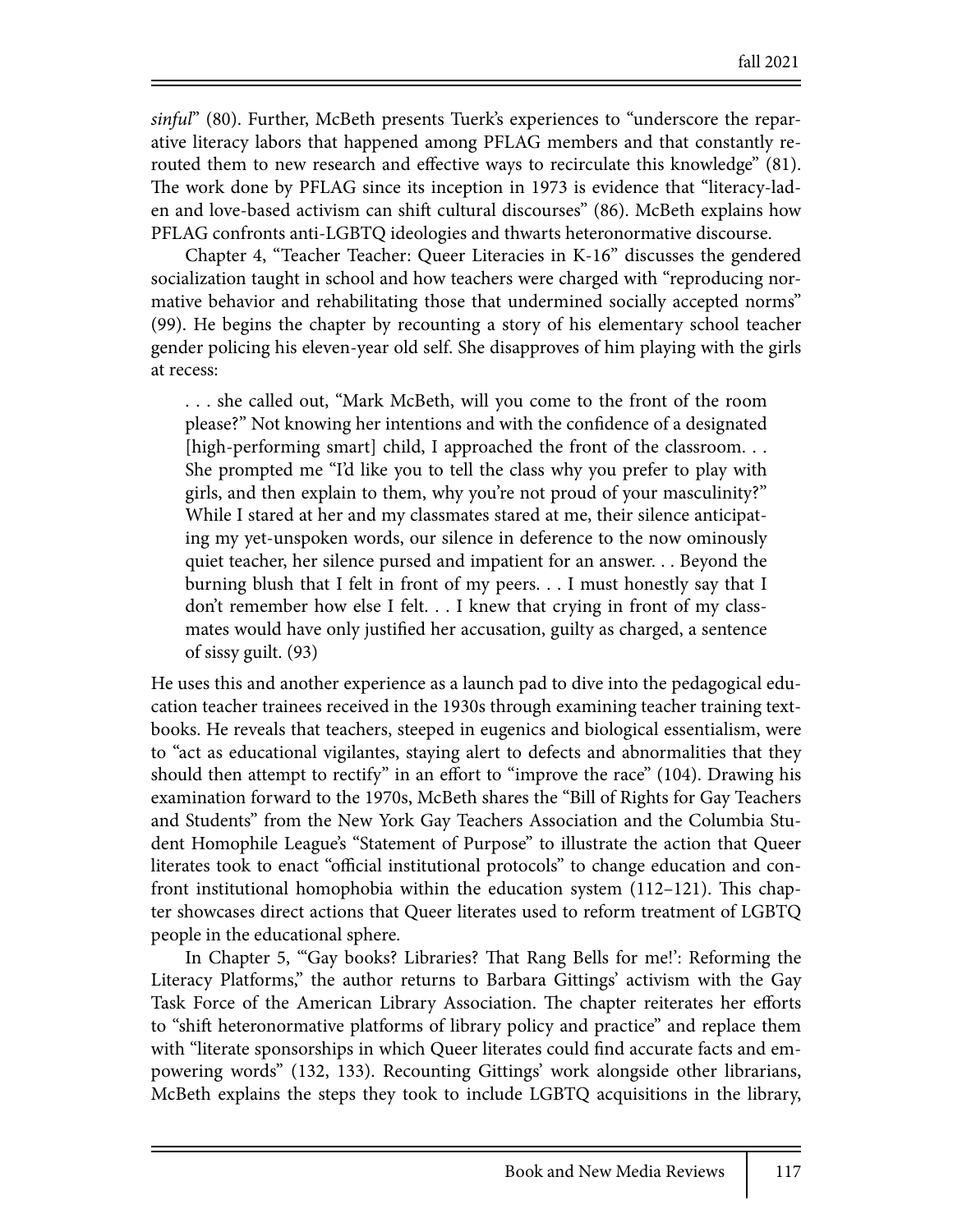*sinful*" (80). Further, McBeth presents Tuerk's experiences to "underscore the reparative literacy labors that happened among PFLAG members and that constantly rerouted them to new research and effective ways to recirculate this knowledge" (81). The work done by PFLAG since its inception in 1973 is evidence that "literacy-laden and love-based activism can shift cultural discourses" (86). McBeth explains how PFLAG confronts anti-LGBTQ ideologies and thwarts heteronormative discourse.

Chapter 4, "Teacher Teacher: Queer Literacies in K-16" discusses the gendered socialization taught in school and how teachers were charged with "reproducing normative behavior and rehabilitating those that undermined socially accepted norms" (99). He begins the chapter by recounting a story of his elementary school teacher gender policing his eleven-year old self. She disapproves of him playing with the girls at recess:

. . . she called out, "Mark McBeth, will you come to the front of the room please?" Not knowing her intentions and with the confidence of a designated [high-performing smart] child, I approached the front of the classroom... She prompted me "I'd like you to tell the class why you prefer to play with girls, and then explain to them, why you're not proud of your masculinity?" While I stared at her and my classmates stared at me, their silence anticipating my yet-unspoken words, our silence in deference to the now ominously quiet teacher, her silence pursed and impatient for an answer. . . Beyond the burning blush that I felt in front of my peers. . . I must honestly say that I don't remember how else I felt. . . I knew that crying in front of my classmates would have only justified her accusation, guilty as charged, a sentence of sissy guilt. (93)

He uses this and another experience as a launch pad to dive into the pedagogical education teacher trainees received in the 1930s through examining teacher training textbooks. He reveals that teachers, steeped in eugenics and biological essentialism, were to "act as educational vigilantes, staying alert to defects and abnormalities that they should then attempt to rectify" in an effort to "improve the race" (104). Drawing his examination forward to the 1970s, McBeth shares the "Bill of Rights for Gay Teachers and Students" from the New York Gay Teachers Association and the Columbia Student Homophile League's "Statement of Purpose" to illustrate the action that Queer literates took to enact "official institutional protocols" to change education and confront institutional homophobia within the education system  $(112-121)$ . This chapter showcases direct actions that Queer literates used to reform treatment of LGBTQ people in the educational sphere.

In Chapter 5, "Gay books? Libraries? That Rang Bells for me!': Reforming the Literacy Platforms," the author returns to Barbara Gittings' activism with the Gay Task Force of the American Library Association. The chapter reiterates her efforts to "shift heteronormative platforms of library policy and practice" and replace them with "literate sponsorships in which Queer literates could find accurate facts and empowering words" (132, 133). Recounting Gittings' work alongside other librarians, McBeth explains the steps they took to include LGBTQ acquisitions in the library,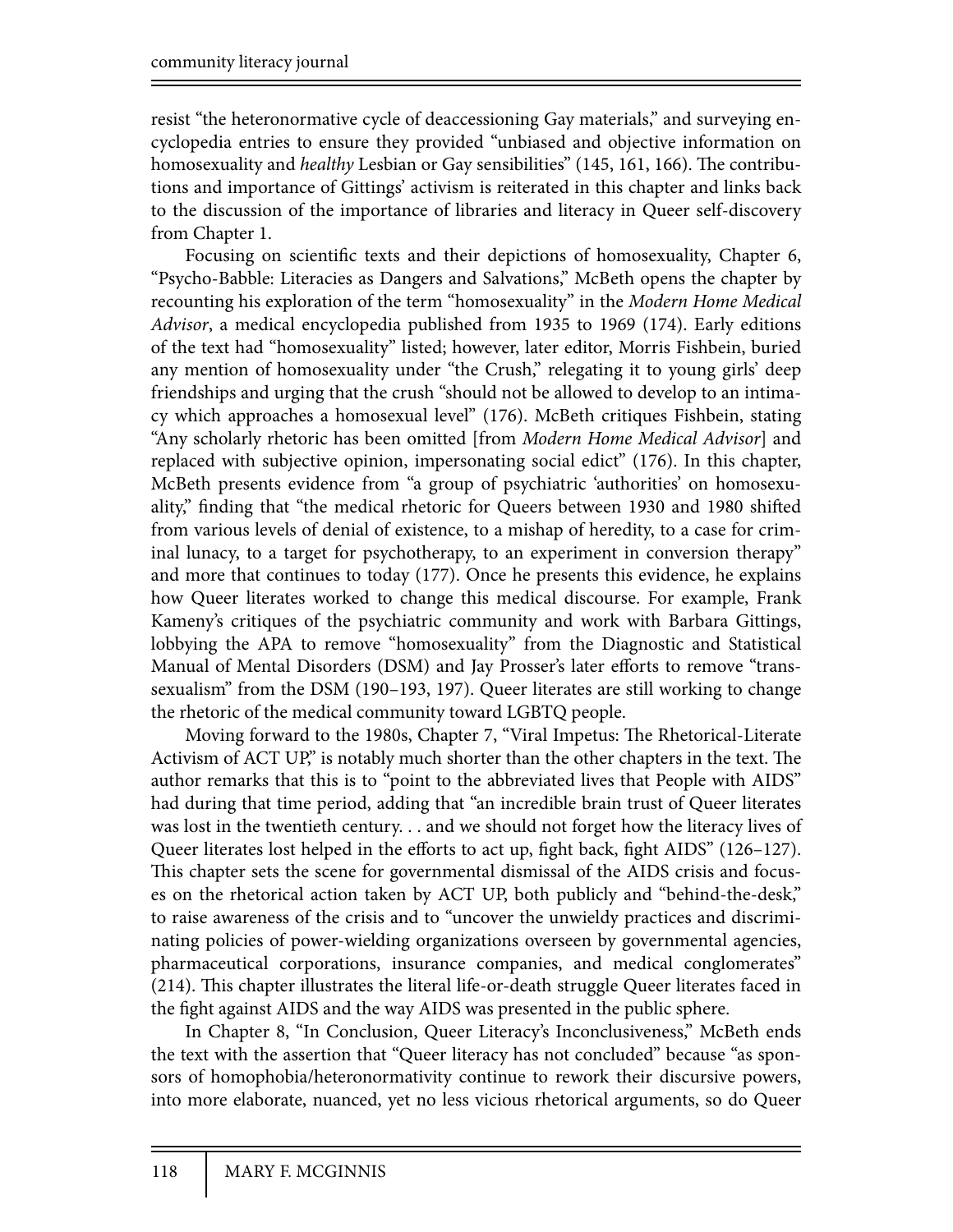resist "the heteronormative cycle of deaccessioning Gay materials," and surveying encyclopedia entries to ensure they provided "unbiased and objective information on homosexuality and *healthy* Lesbian or Gay sensibilities" (145, 161, 166). The contributions and importance of Gittings' activism is reiterated in this chapter and links back to the discussion of the importance of libraries and literacy in Queer self-discovery from Chapter 1.

Focusing on scientific texts and their depictions of homosexuality, Chapter 6, "Psycho-Babble: Literacies as Dangers and Salvations," McBeth opens the chapter by recounting his exploration of the term "homosexuality" in the *Modern Home Medical Advisor*, a medical encyclopedia published from 1935 to 1969 (174). Early editions of the text had "homosexuality" listed; however, later editor, Morris Fishbein, buried any mention of homosexuality under "the Crush," relegating it to young girls' deep friendships and urging that the crush "should not be allowed to develop to an intimacy which approaches a homosexual level" (176). McBeth critiques Fishbein, stating "Any scholarly rhetoric has been omitted [from *Modern Home Medical Advisor*] and replaced with subjective opinion, impersonating social edict" (176). In this chapter, McBeth presents evidence from "a group of psychiatric 'authorities' on homosexuality," finding that "the medical rhetoric for Queers between 1930 and 1980 shifted from various levels of denial of existence, to a mishap of heredity, to a case for criminal lunacy, to a target for psychotherapy, to an experiment in conversion therapy" and more that continues to today (177). Once he presents this evidence, he explains how Queer literates worked to change this medical discourse. For example, Frank Kameny's critiques of the psychiatric community and work with Barbara Gittings, lobbying the APA to remove "homosexuality" from the Diagnostic and Statistical Manual of Mental Disorders (DSM) and Jay Prosser's later efforts to remove "transsexualism" from the DSM (190–193, 197). Queer literates are still working to change the rhetoric of the medical community toward LGBTQ people.

Moving forward to the 1980s, Chapter 7, "Viral Impetus: The Rhetorical-Literate Activism of ACT UP," is notably much shorter than the other chapters in the text. The author remarks that this is to "point to the abbreviated lives that People with AIDS" had during that time period, adding that "an incredible brain trust of Queer literates was lost in the twentieth century. . . and we should not forget how the literacy lives of Queer literates lost helped in the efforts to act up, fight back, fight AIDS" (126–127). This chapter sets the scene for governmental dismissal of the AIDS crisis and focuses on the rhetorical action taken by ACT UP, both publicly and "behind-the-desk," to raise awareness of the crisis and to "uncover the unwieldy practices and discriminating policies of power-wielding organizations overseen by governmental agencies, pharmaceutical corporations, insurance companies, and medical conglomerates" (214). This chapter illustrates the literal life-or-death struggle Queer literates faced in the fight against AIDS and the way AIDS was presented in the public sphere.

In Chapter 8, "In Conclusion, Queer Literacy's Inconclusiveness," McBeth ends the text with the assertion that "Queer literacy has not concluded" because "as sponsors of homophobia/heteronormativity continue to rework their discursive powers, into more elaborate, nuanced, yet no less vicious rhetorical arguments, so do Queer